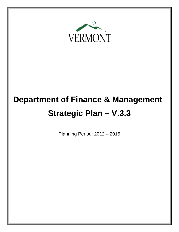

# **Department of Finance & Management Strategic Plan – V.3.3**

Planning Period: 2012 – 2015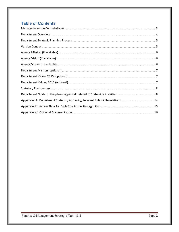# **Table of Contents**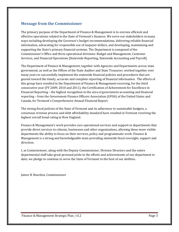## <span id="page-2-0"></span>**Message from the Commissioner**

The primary purpose of the Department of Finance & Management is to oversee efficient and effective operations related to the State of Vermont's finances. We serve our stakeholders in many ways including developing the Governor's budget recommendations, delivering reliable financial information, advocating for responsible use of taxpayer dollars, and developing, maintaining and supporting the State's primary financial systems. The Department is composed of the Commissioner's Office and three operational divisions: Budget and Management, Customer Services, and Financial Operations [Statewide Reporting, Statewide Accounting and Payroll].

The Department of Finance & Management, together with Agencies and Departments across state government, as well as the Offices of the State Auditor and State Treasurer, worked together over many years to successfully implement the statewide financial policies and procedures that are geared toward the timely, accurate and complete reporting of financial information. The efforts of this group have resulted in the Department of Finance & Management receiving, for the third consecutive year (FY 2009, 2010 and 2011), the Certification of Achievement for Excellence in Financial Reporting – the highest recognition in the area of government accounting and financial reporting – from the Government Finance Officers Association (GFOA) of the United States and Canada, for Vermont's Comprehensive Annual Financial Report.

The strong fiscal policies of the State of Vermont and its adherence to sustainable budgets, a consensus revenue process and debt affordability standard have resulted in Vermont receiving the highest overall bond rating in New England.

Finance & Management's work provides core operational services and support to departments that provide direct services to citizens, businesses and other organizations, allowing these more visible departments the ability to focus on their services, policy and programmatic work. Finance & Management is a strong and knowledgeable team providing statewide fiscal oversight, support and direction.

I, as Commissioner, along with the Deputy Commissioner, Division Directors and the entire departmental staff take great personal pride in the efforts and achievements of our department to date; we pledge to continue to serve the State of Vermont to the best of our abilities.

James B. Reardon, Commissioner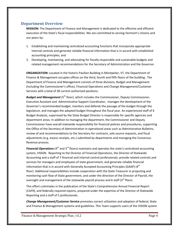### <span id="page-3-0"></span>**Department Overview**

**MISSION:** The Department of Finance and Management is dedicated to the effective and efficient execution of the State's fiscal responsibilities. We are committed to serving Vermont's citizens and our peers by:

- 1. Establishing and maintaining centralized accounting functions that incorporate appropriate internal controls and generate reliable financial information that is in accord with established accounting principles; and
- 2. Developing, maintaining, and advocating for fiscally responsible and sustainable budgets and related management recommendations for the Secretary of Administration and the Governor.

**ORGANIZATION:** Located in the historic Pavilion Building in Montpelier, VT, the Department of Finance & Management occupies offices on the third, fourth and fifth floors of the building. The Department of Finance and Management consists of three divisions, Budget and Management (including the Commissioner's office), Financial Operations and Change Management/Customer Services with a total of 38 current authorized positions.

**Budget and Management** (5<sup>th</sup> floor), which includes the Commissioner, Deputy Commissioner, Executive Assistant and Administrative Support Coordinator, manages the development of the Governor's recommended budget, monitors and defends the passage of the budget through the legislature, and manages the adopted budget throughout the fiscal year. An experienced staff of 6 Budget Analysts, supervised by the State Budget Director is responsible for specific agencies and department areas. In addition to managing the department, the Commissioner and Deputy Commissioner have overall statewide responsibility for financial policies and procedures, supporting the Office of the Secretary of Administration in operational areas such as Administrative Bulletins, review of and recommendations to the Secretary for contracts, sole source requests, and fiscal adjustments (e.g. excess receipts, etc.) submitted by departments and managing the Consensus Revenue process.

**Financial Operations** (4<sup>th</sup> and 3<sup>rd</sup> floors) maintains and operates the state's centralized accounting system, VISION. Reporting to the Director of Financial Operations, the Director of Statewide Accounting and a staff of 7 financial and internal control professionals, provide related controls and services for managers and employees of state government, and generate reliable financial information that is in accord with Generally Accepted Accounting Principles (GAAP)  $(4<sup>th</sup>$ floor). Additional responsibilities include cooperation with the State Treasurer in projecting and monitoring cash flow of State government, and under the direction of the Director of Payroll, the oversight and management of the statewide payroll process and 6 staff (3<sup>rd</sup> floor).

This effort culminates in the publication of the State's Comprehensive Annual Financial Report (CAFR), and federally required reports, prepared under the expertise of the Director of Statewide Reporting and a staff of 5 professionals.

*Change Management/Customer Service* promotes correct utilization and adoption of federal, State and Finance & Management systems and guidelines. This Team supports users of the VISION system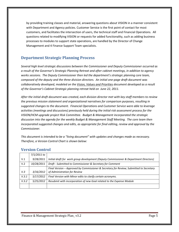by providing training classes and material, answering questions about VISION in a manner consistent with Department and Agency policies. Customer Service is the first point of contact for most customers, and facilitates the intersection of users, the technical staff and Financial Operations. All questions related to modifying VISION or requests for added functionality, such as adding business processes to modules to support state operations, are handled by the Director of Change Management and 4 Finance Support Team specialists.

## <span id="page-4-0"></span>**Department Strategic Planning Process**

*Several high level strategic discussions between the Commissioner and Deputy Commissioner occurred as a result of the Governor's Strategic Planning Retreat and after cabinet meetings, in addition to agency works sessions. The Deputy Commissioner then led the department's strategic planning core team, composed of the deputy and the three division directors. An initial one-page draft document was collaboratively developed, modeled on the Vision, Values and Priorities document developed as a result of the Governor's Cabinet Strategic planning retreat held on June 22, 2011.* 

*After the initial draft document was created, each division director met with key staff members to review the previous mission statement and organizational narratives for comparison purposes, resulting in suggested changes to the document. Financial Operations and Customer Service were able to leverage activities (meetings and discussions) previously held during the initial risk assessment process for the VISION/HCM upgrade project Risk Committee. Budget & Management incorporated the strategic discussion into the agenda for the weekly Budget & Management Staff Meeting. The core team then incorporated suggested changes and edits, as appropriate for final editing, review and approval by the Commissioner.*

*This document is intended to be a "living document" with updates and changes made as necessary. Therefore, a Version Control Chart is shown below:*

|       | 7/1/2011 to |                                                                                         |
|-------|-------------|-----------------------------------------------------------------------------------------|
| V.1   | 9/28/2011   | Initial draft for work group development (Deputy Commissioner & Department Directors)   |
| V.2   | 10/28/2011  | Draft - Submitted to Commissioner & Secretary for Comment                               |
|       |             | Final Version - Approved by Commissioner & Secretary for Review; Submitted to Secretary |
| V.3   | 3/16/2012   | of Administration for Review                                                            |
| V.3.1 | 5/17/2012   | Final Version with Minor edits to clarify certain acronyms.                             |
| V.3.2 | 5/25/2012   | Resubmit with incorporation of new Goal related to the Expense Module                   |
|       |             |                                                                                         |

### <span id="page-4-1"></span>**Version Control**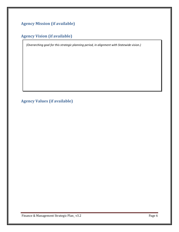# <span id="page-5-1"></span><span id="page-5-0"></span>**Agency Mission (if available)**

# **Agency Vision (if available)**

*(Overarching goal for this strategic planning period, in alignment with Statewide vision.)*

<span id="page-5-2"></span>**Agency Values (if available)**

Finance & Management Strategic Plan\_v3.2 example of the control of the Page 6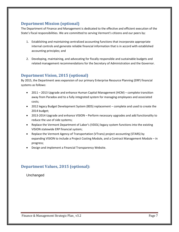## <span id="page-6-0"></span>**Department Mission (optional)**

The Department of Finance and Management is dedicated to the effective and efficient execution of the State's fiscal responsibilities. We are committed to serving Vermont's citizens and our peers by:

- 1. Establishing and maintaining centralized accounting functions that incorporate appropriate internal controls and generate reliable financial information that is in accord with established accounting principles; and
- 2. Developing, maintaining, and advocating for fiscally responsible and sustainable budgets and related management recommendations for the Secretary of Administration and the Governor.

## <span id="page-6-1"></span>**Department Vision, 2015 (optional)**

By 2015, the Department sees expansion of our primary Enterprise Resource Planning (ERP) financial systems as follows:

- 2011 2013 Upgrade and enhance Human Capital Management (HCM) complete transition away from Paradox and to a fully integrated system for managing employees and associated costs;
- 2012 legacy Budget Development System (BDS) replacement complete and used to create the 2014 budget;
- 2013-2014 Upgrade and enhance VISION Perform necessary upgrades and add functionality to reduce the use of side systems;
- Replace the Vermont Department of Labor's (VDOL) legacy system functions into the existing VISION statewide ERP financial system;
- Replace the Vermont Agency of Transportation (VTrans) project accounting (STARS) by expanding VISION to include a Project Costing Module, and a Contract Management Module – in progress;
- Design and implement a Financial Transparency Website.

## <span id="page-6-2"></span>**Department Values, 2015 (optional):**

#### Unchanged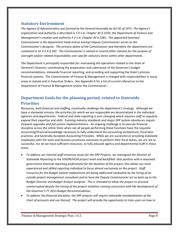#### <span id="page-7-0"></span>**Statutory Environment**

*The Agency of Administration was formed by the General Assembly by Act 92 of 1971. The Agency's organization and authority is described in 3 V.S.A. Chapter 45 § 2202; the Department of Finance and Management's creation and authority 3 V.S.A. Chapter 45 § 2281. The appointed (exempt) Commissioner is the department head and an exempt Deputy Commissioner serves as the Commissioner's designee. The primary duties of the Commissioner and therefore the department are contained in 32 V.S.A § 182. The Commissioner is named in several other statutes for the purpose of oversight and/or related responsibility over specific statutory items within other departments.* 

*The Department is principally responsible for:* overseeing the operations related to the State of Vermont's finances; coordinating the preparation and submission of the Governor's budget recommendations; statewide financial reporting; and providing and supporting the State's primary financial systems. The Commissioner of Finance & Management is charged with responsibilities in many areas in statute and in Executive Orders. See Appendix A for a list of current references to the Department of Finance & Management and/or the Commissioner.

# <span id="page-7-1"></span>**Department Goals for the planning period, related to Statewide Priorities**

*Resources, both financial and staffing, continually challenge the department's strategy. Although we have a statewide mission, the activities for which we are responsible are decentralized in the individual agencies and departments. Federal and state reporting is ever changing which requires staff to regularly expand their expertise and skills. Evolving industry standards and major ERP system obsolesces require frequent upgrades and full system implementations.* An ongoing challenge is to execute financial discipline across the entire State when not all people performing these functions have the requisite accounting/financial knowledge necessary to fully understand the accounting architecture, fiscal best practices, and Generally Accepted Accounting Principles. While we are successful at providing statewide employees with the tools and business processes necessary to perform their fiscal duties, we are not as successful, nor do we have sufficient resources, to fully educate agency and departmental staff in these areas.

- *To address our internal staff resources issues for the ERP Projects, we reassigned the Director of Statewide Reporting to the VISION/HCM project team and backfilled that position with a seasoned government financial reporting professional for the duration of the project; this allows our most experienced and skilled reporting individual to focus almost exclusively on the project. Staff resources for the Budget System replacement are being addressed somewhat by the hiring of an outside project management consultant and to have the Deputy Commissioner act as back-up to the Budget Director and Budget Analyst assigned. This is intended to allow the project to proceed uninterrupted despite the timing of the project initiation running concurrent with the development of the Governor's FY 2013 Budget Recommendation.*
- *To address the financial discipline, the ERP projects will require statewide standardization of the chart of accounts and use thereof. The project will provide the opportunity to train users on how to*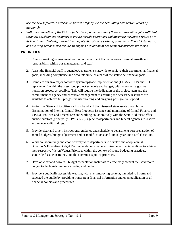*use the new software, as well as on how to properly use the accounting architecture (chart of accounts);*

• *With the completion of the ERP projects, the expanded nature of these systems will require sufficient technical development resources to ensure reliable operations and maximize the State's return on in its investment. Similarly, maximizing the potential of these systems, adhering to financial standards, and evolving demands will require an ongoing evaluation of departmental business processes.* 

#### **PRIORITIES**

- 1. Create a working environment within our department that encourages personal growth and responsibility within our management and staff.
- 2. Assist the financial staff in agencies/departments statewide to achieve their departmental financial goals, including compliance and accountability, as a part of the statewide financial goals.
- 3. Complete our two major software system upgrade implementations (HCM/VISION and BDS replacement) within the prescribed project schedule and budget, with as smooth a go-live transition process as possible. This will require the dedication of the project team and the commitment of agency and executive management to ensuring the necessary resources are available to achieve full pre-go-live user training and on-going post-go-live support.
- 4. Protect the State and its citizenry from fraud and the misuse of state assets through: the dissemination of Internal Control Best Practices; issuance and monitoring of formal Finance and VISION Policies and Procedures; and working collaboratively with the State Auditor's Office, outside auditors (principally KPMG LLP), agencies/departments and federal agencies to resolve and reduce audit findings.
- 5. Provide clear and timely instructions, guidance and schedule to departments for: preparation of annual budgets, budget adjustment and/or modifications; and annual year-end fiscal close-out.
- 6. Work collaboratively and cooperatively with departments to develop and adopt annual Governor's Executive Budget Recommendations that maximize departments' abilities to achieve their respective Vision/Values/Priorities within the context of sound budgeting practices, statewide fiscal constraints, and the Governor's policy priorities.
- 7. Develop clear and powerful budget presentation materials to effectively present the Governor's budget to the legislature, news media, and public.
- 8. Provide a publically accessible website, with ever improving content, intended to inform and educated the public by providing transparent financial information and open publication of all financial policies and procedures.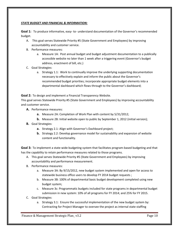#### *STATE BUDGET AND FINANCIAL & INFORMATION:*

**Goal 1:** To produce informative, easy- to- understand documentation of the Governor's recommended budget.

- A. This goal serves Statewide Priority #5 (State Government and Employees) by improving accountability and customer service.
- B. Performance measures:
	- a. Measure 1A: Post annual budget and budget adjustment documentation to a publically accessible website no later than 1 week after a triggering event (Governor's budget address, enactment of bill, etc.)
- C. Goal Strategies:
	- a. Strategy 1.1: Work to continually improve the underlying supporting documentation necessary to effectively explain and inform the public about the Governor's recommended budget priorities; incorporate appropriate budget elements into a departmental dashboard which flows through to the Governor's dashboard;

**Goal 2:** To design and implement a Financial Transparency Website.

This goal serves Statewide Priority #5 (State Government and Employees) by improving accountability and customer service.

- **A.** Performance measures:
	- **a.** Measure 2A: Completion of Work Plan with content by 5/31/2012;
	- **b.** Measure 2B: Initial website open to public by September 1, 2012 (initial version);
- **B.** Goal Strategies:
	- **a.** Strategy 2.1: Align with Governor's Dashboard project;
	- **b.** Strategy 2.2: Develop governance model for sustainability and expansion of website content and functionality.

**Goal 3:** To implement a state-wide budgeting system that facilitates program-based budgeting and that has the capability to retain performance measures related to those programs.

- A. This goal serves Statewide Priority #5 (State Government and Employees) by improving accountability and performance measurement.
- B. Performance measures:
	- a. Measure 3A: By 9/15/2012, new budget system implemented and open for access to statewide business office users to develop FY 2014 budget requests ;
	- b. Measure 3B: 100% of departmental basic budget development completed using new budget system;
	- c. Measure 3c: Programmatic budgets included for state programs in departmental budget submission in new system: 10% of all programs for FY 2014; and 25% for FY 2015.
- C. Goal Strategies:
	- a. Strategy 3.1: Ensure the successful implementation of the new budget system by: Contracting for Project Manager to oversee the project as internal state staffing

Finance & Management Strategic Plan\_ v3.2 example of the control of the Page 10 Page 10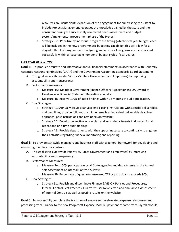resources are insufficient; expansion of the engagement for our existing consultant to include Project Management leverages the knowledge gained by the State and the consultant during the successfully completed needs assessment and budget system/implementer procurement phase of the Project;

a. Strategy 3.2: Prioritize by individual program the timing (which fiscal year budget) each will be included in the new programmatic budgeting capability; this will allow for a staged roll-out of programmatic budgeting and ensure all programs are incorporated successfully within a reasonable number of budget cycles (fiscal years).

#### *FINANCIAL REPORTING:*

**Goal 4:** To produce accurate and informative annual financial statements in accordance with Generally Accepted Accounting Principles (GAAP) and the Government Accounting Standards Board Statements.

- A. This goal serves Statewide Priority #5 (State Government and Employees) by improving accountability and transparency.
- B. Performance measures:
	- a. Measure 4A: Maintain Government Finance Officers Association (GFOA) Award of Excellence in Financial Statement Reporting annually;
	- b. Measure 4B: Resolve 100% of audit findings within 12 months of audit publication.
- C. Goal Strategies:
	- a. Strategy 4.1: Annually, issue clear year-end closing instructions with specific deliverables and deadlines; provide follow-up reminder emails as individual deliverable deadlines approach; post instructions and reminders on website;
	- b. Strategy 4.2: Develop corrective action plan and assist departments in doing so for all repeat and one-time audit findings;
	- c. Strategy 4.3: Provide departments with the support necessary to continually strengthen their activities regarding financial monitoring and reporting.

**Goal 5:** To provide statewide managers and business staff with a general framework for developing and evaluating their internal controls.

- A. This goal serves Statewide Priority #5 (State Government and Employees) by improving accountability and transparency.
- B. Performance Measures:
	- a. Measure 5A: 100% participation by all State agencies and departments in the Annual Self-Assessment of Internal Controls Survey; .
	- b. Measure 5B: Percentage of questions answered YES by participants exceeds 90%;
- C. Goal Strategies:
	- a. Strategy 5.1: Publish and disseminate Finance & VISION Policies and Procedures, Internal Control Best Practices, Quarterly User Newsletter, and annual Self-Assessment of Internal Controls as well as posting results on the website.

**Goal 6:** To successfully complete the transition of employee travel-related expense reimbursement processing from Paradox to the new PeopleSoft Expense Module; payment of same from Payroll module

Finance & Management Strategic Plan\_ v3.2 example of the control of the Page 11 Page 11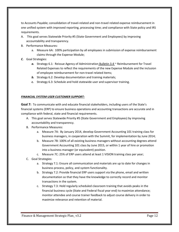to Accounts Payable; consolidation of travel-related and non-travel related expense reimbursement in one unified system with improved reporting, processing time; and compliance with State policy and IRS requirements.

- A. This goal serves Statewide Priority #5 (State Government and Employees) by improving accountability and transparency.
- B. Performance Measures:
	- a. Measure 6A: 100% participation by all employees in submission of expense reimbursement claims through the Expense Module;
- *C.* Goal Strategies:
	- a. Strategy 6.1: Reissue Agency of Administration **Bulletin 3.4**  $\sim$  Reimbursement for Travel Related Expenses to reflect the requirements of the new Expense Module and the inclusion of employee reimbursement for non-travel related items;
	- *b.* Strategy 6.2: Develop documentation and training materials;
	- *c.* Strategy 6.3: Schedule and hold statewide user and supervisor training.

#### *FINANCIAL SYSTEM USER CUSTOMER SUPPORT:*

**Goal 7:** To communicate with and educate financial stakeholders, including users of the State's financial systems (ERP) to ensure business operations and accounting transactions are accurate and in compliance with federal, state and financial requirements.

- A. This goal serves Statewide Priority #5 (State Government and Employees) by improving accountability and transparency.
- B. Performance Measures:
	- a. Measure 7A: By January 2014, develop Government Accounting 101 training class for business managers, in cooperation with the Summit, for implementation by June 2014;
	- b. Measure 7B: 100% of all existing business managers without accounting degrees attend Government Accounting 101 class by June 2015, or within 1 year of hire or promotion into a business manager (or equivalent) position.
	- c. Measure 7C: 25% of ERP users attend at least 1 VISION training class per year;
- C. Goal Strategies:
	- a. Strategy 7.1: Ensure all communication and materials are up to date for changes in business process, policy, and system functionality.
	- b. Strategy 7.2: Provide financial ERP users support via the phone, email and written documentation so that they have the knowledge to correctly record and monitor transactions in the system.
	- c. Strategy 7.3: Hold regularly scheduled classroom training that avoids peaks in the financial business cycle (State and Federal fiscal year end) to maximize attendance; monitor attendee and course trainer feedback to adjust course delivery in order to maximize relevance and retention of material.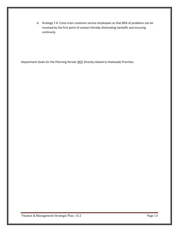d. Strategy 7.4: Cross-train customer service employees so that 80% of problems can be resolved by the first point of contact thereby eliminating handoffs and ensuring continuity.

Department Goals for the Planning Period, NOT directly related to Statewide Priorities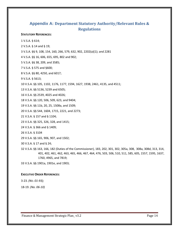## <span id="page-13-0"></span>**Appendix A: Department Statutory Authority/Relevant Rules & Regulations**

#### **STATUTORY REFERENCES:**

1 V.S.A. § 614; 2 V.S.A. § 14 and § 19;

3 V.S.A. §§ 9, 108, 154, 160, 266, 579, 632, 902, 2202(a)(1); and 2281

4 V.S.A. §§ 16, 606, 655, 695, 802 and 902;

5 V.S.A. §§ 38, 209, and 3585;

7 V.S.A. § 575 and §600;

8 V.S.A. §§ 80, 4250, and 6017;

9 V.S.A. § 5613;

10 V.S.A. §§ 105, 1102, 1176, 1177, 1594, 1627, 1938, 2461, 4135, and 4511;

13 V.S.A. §§ 5136, 5239 and 6505;

16 V.S.A. §§ 2539, 4025 and 4026;

18 V.S.A. §§ 120, 506, 509, 623, and 9404;

19 V.S.A. §§ 11b, 20, 25, 1508a, and 1509;

20 V.S.A. §§ 544, 1604, 1715, 2221, and 2273;

21 V.S.A. § 157 and § 1104;

23 V.S.A. §§ 325, 326, 328, and 1415;

24 V.S.A. § 366 and § 1409;

26 V.S.A. § 3104

29 V.S.A. §§ 165, 906, 907, and 1502;

30 V.S.A. § 17 and § 24;

32 V.S.A. §§ 163, 166, 182 (Duties of the Commissioner), 183, 202, 301, 302, 305a, 308, 308a, 308d, 313, 314, 401, 402, 461, 462, 463, 465, 466, 467, 464, 476, 503, 506, 510, 511, 585, 605, 1557, 1595, 1637, 1760, 4965, and 7819;

33 V.S.A. §§ 1901a, 1901e, and 1903;

#### **EXECUTIVE ORDER REFERENCES:**

3-23. *(NO. 01-93);* 

18-19. *(No. 06-10)*

Finance & Management Strategic Plan\_ v3.2 Page 14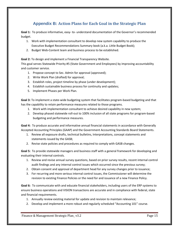# **Appendix B: Action Plans for Each Goal in the Strategic Plan**

<span id="page-14-0"></span>**Goal 1:** To produce informative, easy- to- understand documentation of the Governor's recommended budget.

- 1. Work with implementation consultant to develop new system capability to produce the Executive Budget Recommendations Summary book (a.k.a. Little Budget Book);
- 2. Budget Web-Content team and business process to be established.

**Goal 2:** To design and implement a Financial Transparency Website.

This goal serves Statewide Priority #5 (State Government and Employees) by improving accountability and customer service.

- 1. Propose concept to Sec. Admin for approval (approved);
- 2. Write Work Plan (drafted) for approval;
- 3. Establish roles, project timeline by phase (under development);
- 4. Establish sustainable business process for continuity and updates;
- 5. Implement Phases per Work Plan.

**Goal 3:** To implement a state-wide budgeting system that facilitates program-based budgeting and that has the capability to retain performance measures related to those programs.

- 1. Work with implementation consultant to achieve desired capability in new system;
- 2. Develop phased statewide roll-out to 100% inclusion of all state programs for program-based budgeting and performance measures.

**Goal 4:** To produce accurate and informative annual financial statements in accordance with Generally Accepted Accounting Principles (GAAP) and the Government Accounting Standards Board Statements.

- 1. Review all exposure drafts, technical bulletins, Interpretations, concept statements and statements issued by the GASB;
- 2. Revise state policies and procedures as required to comply with GASB changes.

**Goal 5:** To provide statewide managers and business staff with a general framework for developing and evaluating their internal controls.

- 1. Review and revise annual survey questions, based on prior survey results, recent internal control audit findings and any internal control issues which occurred since the previous survey;
- 2. Obtain consent and approval of department head for any survey changes prior to issuance;
- 3. For recurring and more serious internal control issues, the Commissioner will determine the revision to existing Finance Policies or the need for and issuance of a new Finance Policy.

**Goal 6:** To communicate with and educate financial stakeholders, including users of the ERP systems to ensure business operations and VISION transactions are accurate and in compliance with federal, state and financial requirements.

- 1. Annually review existing material for update and revision to maintain relevance;
- 2. Develop and implement a more robust and regularly scheduled "Accounting 101" course.